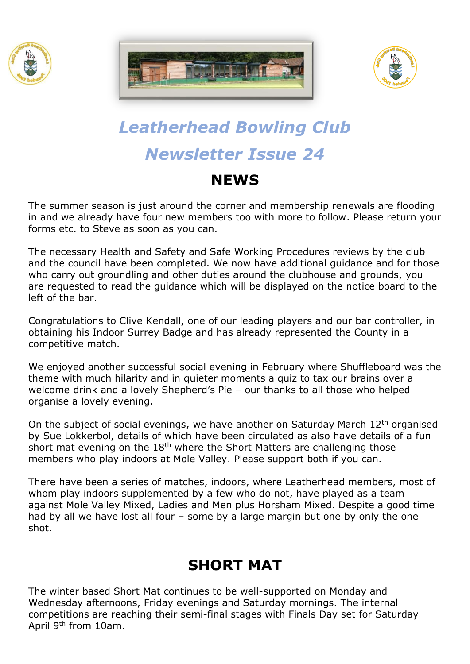





# *Leatherhead Bowling Club Newsletter Issue 24*

#### **NEWS**

The summer season is just around the corner and membership renewals are flooding in and we already have four new members too with more to follow. Please return your forms etc. to Steve as soon as you can.

The necessary Health and Safety and Safe Working Procedures reviews by the club and the council have been completed. We now have additional guidance and for those who carry out groundling and other duties around the clubhouse and grounds, you are requested to read the guidance which will be displayed on the notice board to the left of the bar.

Congratulations to Clive Kendall, one of our leading players and our bar controller, in obtaining his Indoor Surrey Badge and has already represented the County in a competitive match.

We enjoyed another successful social evening in February where Shuffleboard was the theme with much hilarity and in quieter moments a quiz to tax our brains over a welcome drink and a lovely Shepherd's Pie – our thanks to all those who helped organise a lovely evening.

On the subject of social evenings, we have another on Saturday March 12th organised by Sue Lokkerbol, details of which have been circulated as also have details of a fun short mat evening on the  $18<sup>th</sup>$  where the Short Matters are challenging those members who play indoors at Mole Valley. Please support both if you can.

There have been a series of matches, indoors, where Leatherhead members, most of whom play indoors supplemented by a few who do not, have played as a team against Mole Valley Mixed, Ladies and Men plus Horsham Mixed. Despite a good time had by all we have lost all four – some by a large margin but one by only the one shot.

## **SHORT MAT**

The winter based Short Mat continues to be well-supported on Monday and Wednesday afternoons, Friday evenings and Saturday mornings. The internal competitions are reaching their semi-final stages with Finals Day set for Saturday April 9th from 10am.